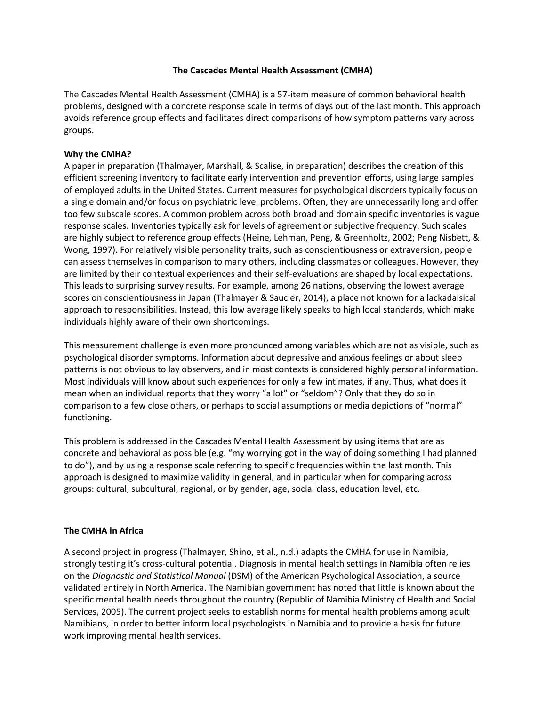## **The Cascades Mental Health Assessment (CMHA)**

The Cascades Mental Health Assessment (CMHA) is a 57-item measure of common behavioral health problems, designed with a concrete response scale in terms of days out of the last month. This approach avoids reference group effects and facilitates direct comparisons of how symptom patterns vary across groups.

## **Why the CMHA?**

A paper in preparation (Thalmayer, Marshall, & Scalise, in preparation) describes the creation of this efficient screening inventory to facilitate early intervention and prevention efforts, using large samples of employed adults in the United States. Current measures for psychological disorders typically focus on a single domain and/or focus on psychiatric level problems. Often, they are unnecessarily long and offer too few subscale scores. A common problem across both broad and domain specific inventories is vague response scales. Inventories typically ask for levels of agreement or subjective frequency. Such scales are highly subject to reference group effects (Heine, Lehman, Peng, & Greenholtz, 2002; Peng Nisbett, & Wong, 1997). For relatively visible personality traits, such as conscientiousness or extraversion, people can assess themselves in comparison to many others, including classmates or colleagues. However, they are limited by their contextual experiences and their self-evaluations are shaped by local expectations. This leads to surprising survey results. For example, among 26 nations, observing the lowest average scores on conscientiousness in Japan (Thalmayer & Saucier, 2014), a place not known for a lackadaisical approach to responsibilities. Instead, this low average likely speaks to high local standards, which make individuals highly aware of their own shortcomings.

This measurement challenge is even more pronounced among variables which are not as visible, such as psychological disorder symptoms. Information about depressive and anxious feelings or about sleep patterns is not obvious to lay observers, and in most contexts is considered highly personal information. Most individuals will know about such experiences for only a few intimates, if any. Thus, what does it mean when an individual reports that they worry "a lot" or "seldom"? Only that they do so in comparison to a few close others, or perhaps to social assumptions or media depictions of "normal" functioning.

This problem is addressed in the Cascades Mental Health Assessment by using items that are as concrete and behavioral as possible (e.g. "my worrying got in the way of doing something I had planned to do"), and by using a response scale referring to specific frequencies within the last month. This approach is designed to maximize validity in general, and in particular when for comparing across groups: cultural, subcultural, regional, or by gender, age, social class, education level, etc.

## **The CMHA in Africa**

A second project in progress (Thalmayer, Shino, et al., n.d.) adapts the CMHA for use in Namibia, strongly testing it's cross-cultural potential. Diagnosis in mental health settings in Namibia often relies on the *Diagnostic and Statistical Manual* (DSM) of the American Psychological Association, a source validated entirely in North America. The Namibian government has noted that little is known about the specific mental health needs throughout the country (Republic of Namibia Ministry of Health and Social Services, 2005). The current project seeks to establish norms for mental health problems among adult Namibians, in order to better inform local psychologists in Namibia and to provide a basis for future work improving mental health services.